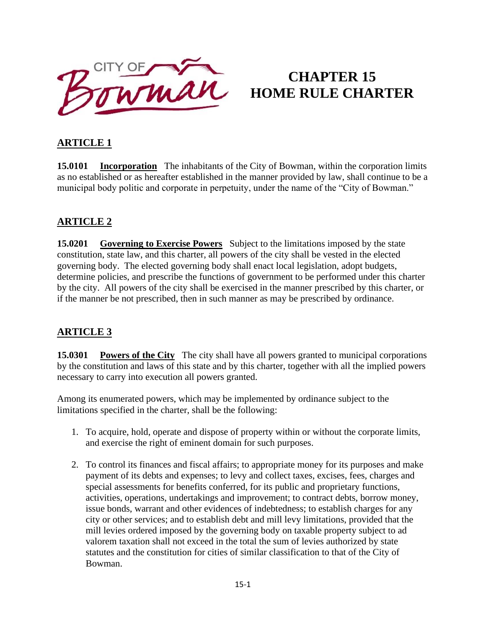

# **CHAPTER 15 HOME RULE CHARTER**

# **ARTICLE 1**

**15.0101 Incorporation** The inhabitants of the City of Bowman, within the corporation limits as no established or as hereafter established in the manner provided by law, shall continue to be a municipal body politic and corporate in perpetuity, under the name of the "City of Bowman."

### **ARTICLE 2**

**15.0201 Governing to Exercise Powers** Subject to the limitations imposed by the state constitution, state law, and this charter, all powers of the city shall be vested in the elected governing body. The elected governing body shall enact local legislation, adopt budgets, determine policies, and prescribe the functions of government to be performed under this charter by the city. All powers of the city shall be exercised in the manner prescribed by this charter, or if the manner be not prescribed, then in such manner as may be prescribed by ordinance.

### **ARTICLE 3**

**15.0301 Powers of the City** The city shall have all powers granted to municipal corporations by the constitution and laws of this state and by this charter, together with all the implied powers necessary to carry into execution all powers granted.

Among its enumerated powers, which may be implemented by ordinance subject to the limitations specified in the charter, shall be the following:

- 1. To acquire, hold, operate and dispose of property within or without the corporate limits, and exercise the right of eminent domain for such purposes.
- 2. To control its finances and fiscal affairs; to appropriate money for its purposes and make payment of its debts and expenses; to levy and collect taxes, excises, fees, charges and special assessments for benefits conferred, for its public and proprietary functions, activities, operations, undertakings and improvement; to contract debts, borrow money, issue bonds, warrant and other evidences of indebtedness; to establish charges for any city or other services; and to establish debt and mill levy limitations, provided that the mill levies ordered imposed by the governing body on taxable property subject to ad valorem taxation shall not exceed in the total the sum of levies authorized by state statutes and the constitution for cities of similar classification to that of the City of Bowman.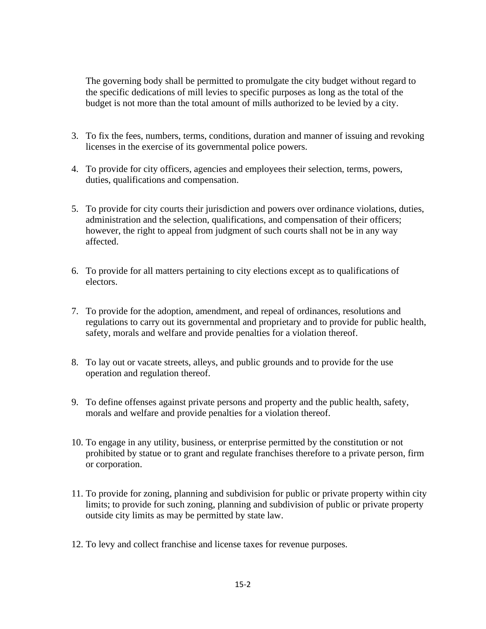The governing body shall be permitted to promulgate the city budget without regard to the specific dedications of mill levies to specific purposes as long as the total of the budget is not more than the total amount of mills authorized to be levied by a city.

- 3. To fix the fees, numbers, terms, conditions, duration and manner of issuing and revoking licenses in the exercise of its governmental police powers.
- 4. To provide for city officers, agencies and employees their selection, terms, powers, duties, qualifications and compensation.
- 5. To provide for city courts their jurisdiction and powers over ordinance violations, duties, administration and the selection, qualifications, and compensation of their officers; however, the right to appeal from judgment of such courts shall not be in any way affected.
- 6. To provide for all matters pertaining to city elections except as to qualifications of electors.
- 7. To provide for the adoption, amendment, and repeal of ordinances, resolutions and regulations to carry out its governmental and proprietary and to provide for public health, safety, morals and welfare and provide penalties for a violation thereof.
- 8. To lay out or vacate streets, alleys, and public grounds and to provide for the use operation and regulation thereof.
- 9. To define offenses against private persons and property and the public health, safety, morals and welfare and provide penalties for a violation thereof.
- 10. To engage in any utility, business, or enterprise permitted by the constitution or not prohibited by statue or to grant and regulate franchises therefore to a private person, firm or corporation.
- 11. To provide for zoning, planning and subdivision for public or private property within city limits; to provide for such zoning, planning and subdivision of public or private property outside city limits as may be permitted by state law.
- 12. To levy and collect franchise and license taxes for revenue purposes.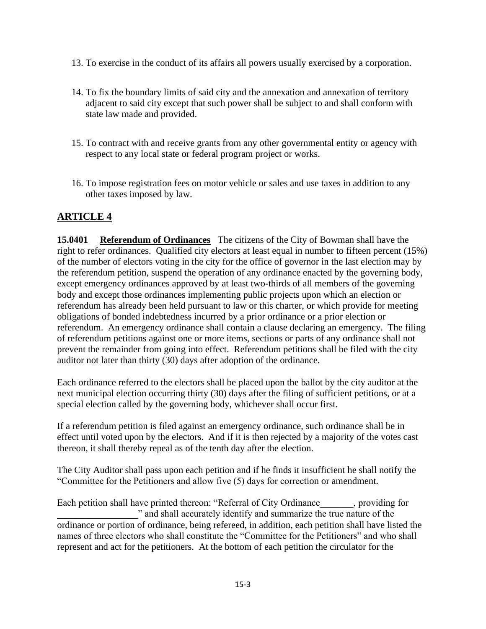- 13. To exercise in the conduct of its affairs all powers usually exercised by a corporation.
- 14. To fix the boundary limits of said city and the annexation and annexation of territory adjacent to said city except that such power shall be subject to and shall conform with state law made and provided.
- 15. To contract with and receive grants from any other governmental entity or agency with respect to any local state or federal program project or works.
- 16. To impose registration fees on motor vehicle or sales and use taxes in addition to any other taxes imposed by law.

#### **ARTICLE 4**

**15.0401 Referendum of Ordinances** The citizens of the City of Bowman shall have the right to refer ordinances. Qualified city electors at least equal in number to fifteen percent (15%) of the number of electors voting in the city for the office of governor in the last election may by the referendum petition, suspend the operation of any ordinance enacted by the governing body, except emergency ordinances approved by at least two-thirds of all members of the governing body and except those ordinances implementing public projects upon which an election or referendum has already been held pursuant to law or this charter, or which provide for meeting obligations of bonded indebtedness incurred by a prior ordinance or a prior election or referendum. An emergency ordinance shall contain a clause declaring an emergency. The filing of referendum petitions against one or more items, sections or parts of any ordinance shall not prevent the remainder from going into effect. Referendum petitions shall be filed with the city auditor not later than thirty (30) days after adoption of the ordinance.

Each ordinance referred to the electors shall be placed upon the ballot by the city auditor at the next municipal election occurring thirty (30) days after the filing of sufficient petitions, or at a special election called by the governing body, whichever shall occur first.

If a referendum petition is filed against an emergency ordinance, such ordinance shall be in effect until voted upon by the electors. And if it is then rejected by a majority of the votes cast thereon, it shall thereby repeal as of the tenth day after the election.

The City Auditor shall pass upon each petition and if he finds it insufficient he shall notify the "Committee for the Petitioners and allow five (5) days for correction or amendment.

Each petition shall have printed thereon: "Referral of City Ordinance , providing for \_\_\_\_\_\_\_\_\_\_\_\_\_\_\_\_\_" and shall accurately identify and summarize the true nature of the ordinance or portion of ordinance, being refereed, in addition, each petition shall have listed the names of three electors who shall constitute the "Committee for the Petitioners" and who shall represent and act for the petitioners. At the bottom of each petition the circulator for the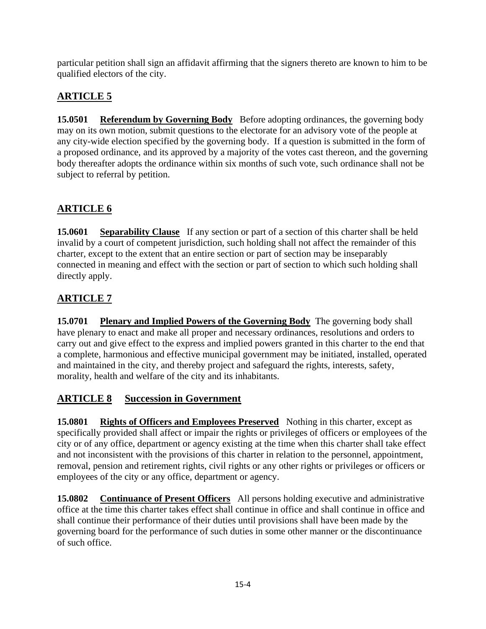particular petition shall sign an affidavit affirming that the signers thereto are known to him to be qualified electors of the city.

# **ARTICLE 5**

**15.0501 Referendum by Governing Body** Before adopting ordinances, the governing body may on its own motion, submit questions to the electorate for an advisory vote of the people at any city-wide election specified by the governing body. If a question is submitted in the form of a proposed ordinance, and its approved by a majority of the votes cast thereon, and the governing body thereafter adopts the ordinance within six months of such vote, such ordinance shall not be subject to referral by petition.

# **ARTICLE 6**

**15.0601** Separability Clause If any section or part of a section of this charter shall be held invalid by a court of competent jurisdiction, such holding shall not affect the remainder of this charter, except to the extent that an entire section or part of section may be inseparably connected in meaning and effect with the section or part of section to which such holding shall directly apply.

# **ARTICLE 7**

**15.0701** Plenary and Implied Powers of the Governing Body The governing body shall have plenary to enact and make all proper and necessary ordinances, resolutions and orders to carry out and give effect to the express and implied powers granted in this charter to the end that a complete, harmonious and effective municipal government may be initiated, installed, operated and maintained in the city, and thereby project and safeguard the rights, interests, safety, morality, health and welfare of the city and its inhabitants.

# **ARTICLE 8 Succession in Government**

**15.0801 Rights of Officers and Employees Preserved** Nothing in this charter, except as specifically provided shall affect or impair the rights or privileges of officers or employees of the city or of any office, department or agency existing at the time when this charter shall take effect and not inconsistent with the provisions of this charter in relation to the personnel, appointment, removal, pension and retirement rights, civil rights or any other rights or privileges or officers or employees of the city or any office, department or agency.

**15.0802 Continuance of Present Officers** All persons holding executive and administrative office at the time this charter takes effect shall continue in office and shall continue in office and shall continue their performance of their duties until provisions shall have been made by the governing board for the performance of such duties in some other manner or the discontinuance of such office.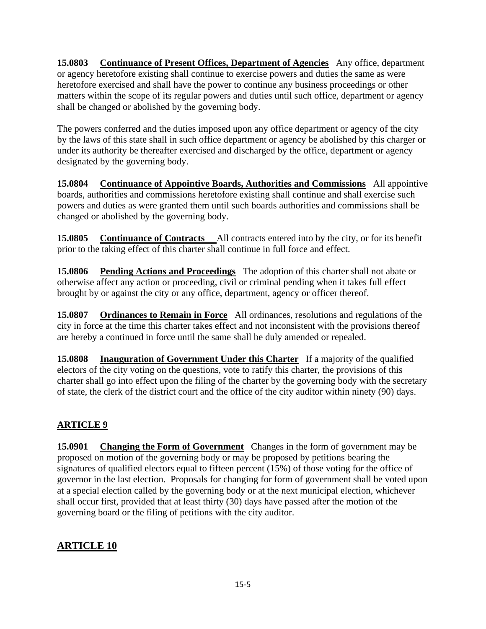**15.0803 Continuance of Present Offices, Department of Agencies** Any office, department or agency heretofore existing shall continue to exercise powers and duties the same as were heretofore exercised and shall have the power to continue any business proceedings or other matters within the scope of its regular powers and duties until such office, department or agency shall be changed or abolished by the governing body.

The powers conferred and the duties imposed upon any office department or agency of the city by the laws of this state shall in such office department or agency be abolished by this charger or under its authority be thereafter exercised and discharged by the office, department or agency designated by the governing body.

**15.0804 Continuance of Appointive Boards, Authorities and Commissions** All appointive boards, authorities and commissions heretofore existing shall continue and shall exercise such powers and duties as were granted them until such boards authorities and commissions shall be changed or abolished by the governing body.

**15.0805 Continuance of Contracts** All contracts entered into by the city, or for its benefit prior to the taking effect of this charter shall continue in full force and effect.

**15.0806 Pending Actions and Proceedings** The adoption of this charter shall not abate or otherwise affect any action or proceeding, civil or criminal pending when it takes full effect brought by or against the city or any office, department, agency or officer thereof.

**15.0807 Ordinances to Remain in Force** All ordinances, resolutions and regulations of the city in force at the time this charter takes effect and not inconsistent with the provisions thereof are hereby a continued in force until the same shall be duly amended or repealed.

**15.0808 Inauguration of Government Under this Charter** If a majority of the qualified electors of the city voting on the questions, vote to ratify this charter, the provisions of this charter shall go into effect upon the filing of the charter by the governing body with the secretary of state, the clerk of the district court and the office of the city auditor within ninety (90) days.

### **ARTICLE 9**

**15.0901 Changing the Form of Government** Changes in the form of government may be proposed on motion of the governing body or may be proposed by petitions bearing the signatures of qualified electors equal to fifteen percent (15%) of those voting for the office of governor in the last election. Proposals for changing for form of government shall be voted upon at a special election called by the governing body or at the next municipal election, whichever shall occur first, provided that at least thirty (30) days have passed after the motion of the governing board or the filing of petitions with the city auditor.

### **ARTICLE 10**